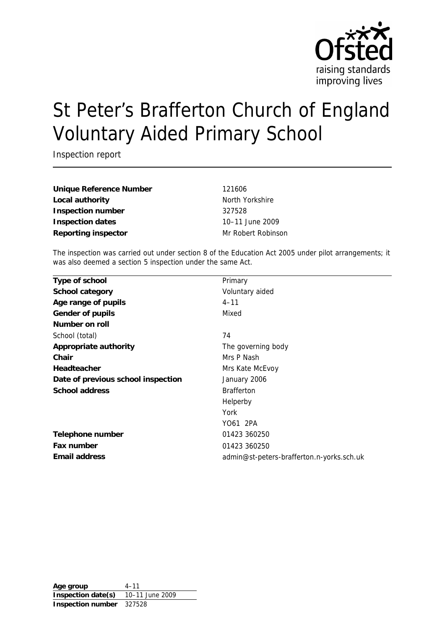

# St Peter's Brafferton Church of England Voluntary Aided Primary School

Inspection report

**Unique Reference Number** 121606 Local authority **North Yorkshire** North Yorkshire **Inspection number** 327528 **Inspection dates** 10–11 June 2009 **Reporting inspector** Mr Robert Robinson

The inspection was carried out under section 8 of the Education Act 2005 under pilot arrangements; it was also deemed a section 5 inspection under the same Act.

| Primary                                   |
|-------------------------------------------|
| Voluntary aided                           |
| $4 - 11$                                  |
| Mixed                                     |
|                                           |
| 74                                        |
| The governing body                        |
| Mrs P Nash                                |
| Mrs Kate McEvoy                           |
| January 2006                              |
| <b>Brafferton</b>                         |
| Helperby                                  |
| York                                      |
| YO61 2PA                                  |
| 01423 360250                              |
| 01423 360250                              |
| admin@st-peters-brafferton.n-yorks.sch.uk |
|                                           |

Age group 4-11 **Inspection date(s)** 10–11 June 2009 **Inspection number** 327528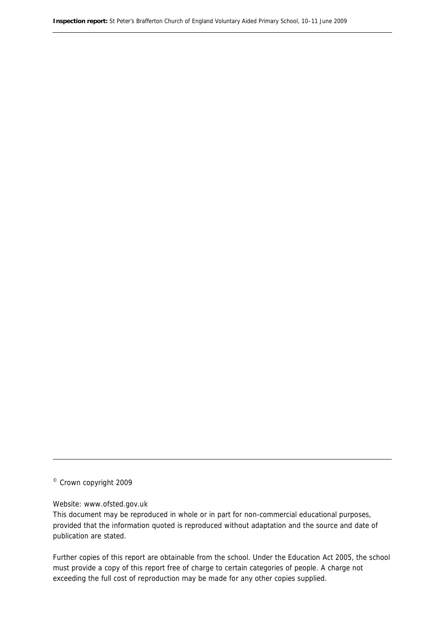© Crown copyright 2009

#### Website: www.ofsted.gov.uk

This document may be reproduced in whole or in part for non-commercial educational purposes, provided that the information quoted is reproduced without adaptation and the source and date of publication are stated.

Further copies of this report are obtainable from the school. Under the Education Act 2005, the school must provide a copy of this report free of charge to certain categories of people. A charge not exceeding the full cost of reproduction may be made for any other copies supplied.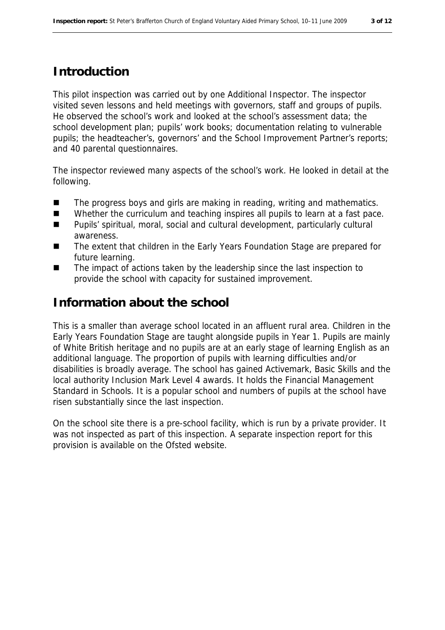#### **Introduction**

This pilot inspection was carried out by one Additional Inspector. The inspector visited seven lessons and held meetings with governors, staff and groups of pupils. He observed the school's work and looked at the school's assessment data; the school development plan; pupils' work books; documentation relating to vulnerable pupils; the headteacher's, governors' and the School Improvement Partner's reports; and 40 parental questionnaires.

The inspector reviewed many aspects of the school's work. He looked in detail at the following.

- The progress boys and girls are making in reading, writing and mathematics.
- Whether the curriculum and teaching inspires all pupils to learn at a fast pace.
- Pupils' spiritual, moral, social and cultural development, particularly cultural awareness.
- The extent that children in the Early Years Foundation Stage are prepared for future learning.
- The impact of actions taken by the leadership since the last inspection to provide the school with capacity for sustained improvement.

#### **Information about the school**

This is a smaller than average school located in an affluent rural area. Children in the Early Years Foundation Stage are taught alongside pupils in Year 1. Pupils are mainly of White British heritage and no pupils are at an early stage of learning English as an additional language. The proportion of pupils with learning difficulties and/or disabilities is broadly average. The school has gained Activemark, Basic Skills and the local authority Inclusion Mark Level 4 awards. It holds the Financial Management Standard in Schools. It is a popular school and numbers of pupils at the school have risen substantially since the last inspection.

On the school site there is a pre-school facility, which is run by a private provider. It was not inspected as part of this inspection. A separate inspection report for this provision is available on the Ofsted website.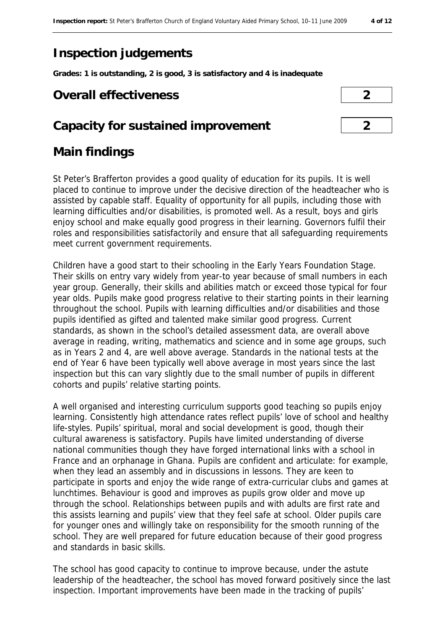## **Inspection judgements**

**Grades: 1 is outstanding, 2 is good, 3 is satisfactory and 4 is inadequate**

### **Overall effectiveness 2**

## **Capacity for sustained improvement 2**



#### **Main findings**

St Peter's Brafferton provides a good quality of education for its pupils. It is well placed to continue to improve under the decisive direction of the headteacher who is assisted by capable staff. Equality of opportunity for all pupils, including those with learning difficulties and/or disabilities, is promoted well. As a result, boys and girls enjoy school and make equally good progress in their learning. Governors fulfil their roles and responsibilities satisfactorily and ensure that all safeguarding requirements meet current government requirements.

Children have a good start to their schooling in the Early Years Foundation Stage. Their skills on entry vary widely from year-to year because of small numbers in each year group. Generally, their skills and abilities match or exceed those typical for four year olds. Pupils make good progress relative to their starting points in their learning throughout the school. Pupils with learning difficulties and/or disabilities and those pupils identified as gifted and talented make similar good progress. Current standards, as shown in the school's detailed assessment data, are overall above average in reading, writing, mathematics and science and in some age groups, such as in Years 2 and 4, are well above average. Standards in the national tests at the end of Year 6 have been typically well above average in most years since the last inspection but this can vary slightly due to the small number of pupils in different cohorts and pupils' relative starting points.

A well organised and interesting curriculum supports good teaching so pupils enjoy learning. Consistently high attendance rates reflect pupils' love of school and healthy life-styles. Pupils' spiritual, moral and social development is good, though their cultural awareness is satisfactory. Pupils have limited understanding of diverse national communities though they have forged international links with a school in France and an orphanage in Ghana. Pupils are confident and articulate: for example, when they lead an assembly and in discussions in lessons. They are keen to participate in sports and enjoy the wide range of extra-curricular clubs and games at lunchtimes. Behaviour is good and improves as pupils grow older and move up through the school. Relationships between pupils and with adults are first rate and this assists learning and pupils' view that they feel safe at school. Older pupils care for younger ones and willingly take on responsibility for the smooth running of the school. They are well prepared for future education because of their good progress and standards in basic skills.

The school has good capacity to continue to improve because, under the astute leadership of the headteacher, the school has moved forward positively since the last inspection. Important improvements have been made in the tracking of pupils'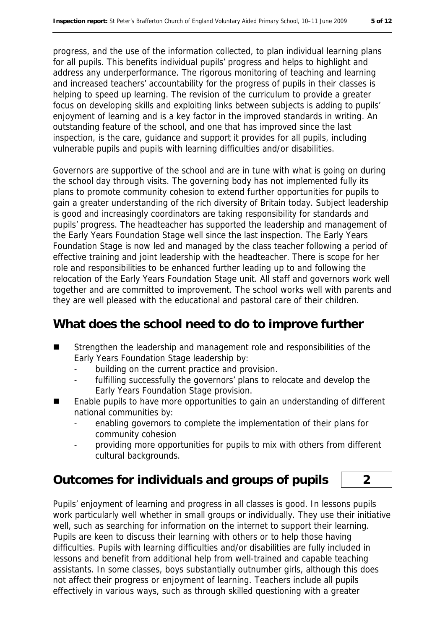progress, and the use of the information collected, to plan individual learning plans for all pupils. This benefits individual pupils' progress and helps to highlight and address any underperformance. The rigorous monitoring of teaching and learning and increased teachers' accountability for the progress of pupils in their classes is helping to speed up learning. The revision of the curriculum to provide a greater focus on developing skills and exploiting links between subjects is adding to pupils' enjoyment of learning and is a key factor in the improved standards in writing. An outstanding feature of the school, and one that has improved since the last inspection, is the care, guidance and support it provides for all pupils, including vulnerable pupils and pupils with learning difficulties and/or disabilities.

Governors are supportive of the school and are in tune with what is going on during the school day through visits. The governing body has not implemented fully its plans to promote community cohesion to extend further opportunities for pupils to gain a greater understanding of the rich diversity of Britain today. Subject leadership is good and increasingly coordinators are taking responsibility for standards and pupils' progress. The headteacher has supported the leadership and management of the Early Years Foundation Stage well since the last inspection. The Early Years Foundation Stage is now led and managed by the class teacher following a period of effective training and joint leadership with the headteacher. There is scope for her role and responsibilities to be enhanced further leading up to and following the relocation of the Early Years Foundation Stage unit. All staff and governors work well together and are committed to improvement. The school works well with parents and they are well pleased with the educational and pastoral care of their children.

#### **What does the school need to do to improve further**

- Strengthen the leadership and management role and responsibilities of the Early Years Foundation Stage leadership by:
	- building on the current practice and provision.
	- fulfilling successfully the governors' plans to relocate and develop the Early Years Foundation Stage provision.
- Enable pupils to have more opportunities to gain an understanding of different national communities by:
	- enabling governors to complete the implementation of their plans for community cohesion
	- providing more opportunities for pupils to mix with others from different cultural backgrounds.

#### **Outcomes for individuals and groups of pupils 2**

Pupils' enjoyment of learning and progress in all classes is good. In lessons pupils work particularly well whether in small groups or individually. They use their initiative well, such as searching for information on the internet to support their learning. Pupils are keen to discuss their learning with others or to help those having difficulties. Pupils with learning difficulties and/or disabilities are fully included in lessons and benefit from additional help from well-trained and capable teaching assistants. In some classes, boys substantially outnumber girls, although this does not affect their progress or enjoyment of learning. Teachers include all pupils effectively in various ways, such as through skilled questioning with a greater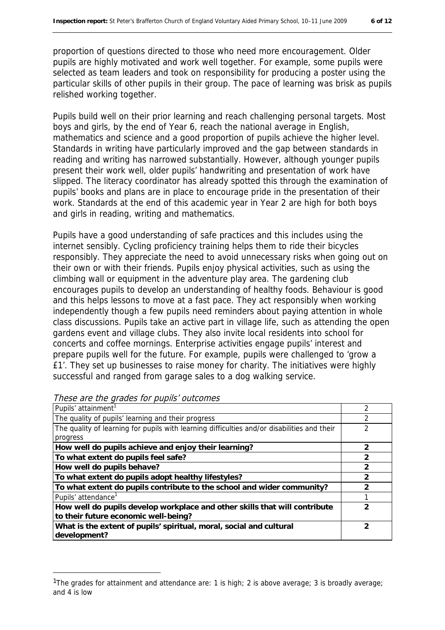proportion of questions directed to those who need more encouragement. Older pupils are highly motivated and work well together. For example, some pupils were selected as team leaders and took on responsibility for producing a poster using the particular skills of other pupils in their group. The pace of learning was brisk as pupils relished working together.

Pupils build well on their prior learning and reach challenging personal targets. Most boys and girls, by the end of Year 6, reach the national average in English, mathematics and science and a good proportion of pupils achieve the higher level. Standards in writing have particularly improved and the gap between standards in reading and writing has narrowed substantially. However, although younger pupils present their work well, older pupils' handwriting and presentation of work have slipped. The literacy coordinator has already spotted this through the examination of pupils' books and plans are in place to encourage pride in the presentation of their work. Standards at the end of this academic year in Year 2 are high for both boys and girls in reading, writing and mathematics.

Pupils have a good understanding of safe practices and this includes using the internet sensibly. Cycling proficiency training helps them to ride their bicycles responsibly. They appreciate the need to avoid unnecessary risks when going out on their own or with their friends. Pupils enjoy physical activities, such as using the climbing wall or equipment in the adventure play area. The gardening club encourages pupils to develop an understanding of healthy foods. Behaviour is good and this helps lessons to move at a fast pace. They act responsibly when working independently though a few pupils need reminders about paying attention in whole class discussions. Pupils take an active part in village life, such as attending the open gardens event and village clubs. They also invite local residents into school for concerts and coffee mornings. Enterprise activities engage pupils' interest and prepare pupils well for the future. For example, pupils were challenged to 'grow a £1'. They set up businesses to raise money for charity. The initiatives were highly successful and ranged from garage sales to a dog walking service.

| Pupils' attainment <sup>1</sup>                                                             |               |
|---------------------------------------------------------------------------------------------|---------------|
| The quality of pupils' learning and their progress                                          |               |
| The quality of learning for pupils with learning difficulties and/or disabilities and their |               |
| progress                                                                                    |               |
| How well do pupils achieve and enjoy their learning?                                        | $\mathcal{P}$ |
| To what extent do pupils feel safe?                                                         | $\mathcal{P}$ |
| How well do pupils behave?                                                                  | $\mathcal{P}$ |
| To what extent do pupils adopt healthy lifestyles?                                          | $\mathcal{P}$ |
| To what extent do pupils contribute to the school and wider community?                      |               |
| Pupils' attendance <sup>1</sup>                                                             |               |
| How well do pupils develop workplace and other skills that will contribute                  | 2             |
| to their future economic well-being?                                                        |               |
| What is the extent of pupils' spiritual, moral, social and cultural<br>development?         | フ             |

These are the grades for pupils' outcomes

-

<sup>1</sup>The grades for attainment and attendance are: 1 is high; 2 is above average; 3 is broadly average; and 4 is low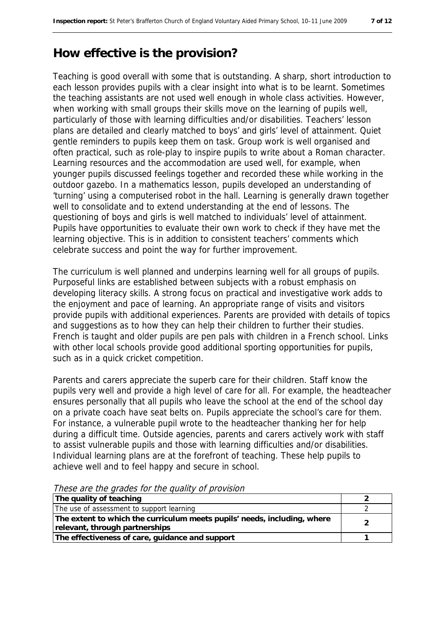## **How effective is the provision?**

Teaching is good overall with some that is outstanding. A sharp, short introduction to each lesson provides pupils with a clear insight into what is to be learnt. Sometimes the teaching assistants are not used well enough in whole class activities. However, when working with small groups their skills move on the learning of pupils well, particularly of those with learning difficulties and/or disabilities. Teachers' lesson plans are detailed and clearly matched to boys' and girls' level of attainment. Quiet gentle reminders to pupils keep them on task. Group work is well organised and often practical, such as role-play to inspire pupils to write about a Roman character. Learning resources and the accommodation are used well, for example, when younger pupils discussed feelings together and recorded these while working in the outdoor gazebo. In a mathematics lesson, pupils developed an understanding of 'turning' using a computerised robot in the hall. Learning is generally drawn together well to consolidate and to extend understanding at the end of lessons. The questioning of boys and girls is well matched to individuals' level of attainment. Pupils have opportunities to evaluate their own work to check if they have met the learning objective. This is in addition to consistent teachers' comments which celebrate success and point the way for further improvement.

The curriculum is well planned and underpins learning well for all groups of pupils. Purposeful links are established between subjects with a robust emphasis on developing literacy skills. A strong focus on practical and investigative work adds to the enjoyment and pace of learning. An appropriate range of visits and visitors provide pupils with additional experiences. Parents are provided with details of topics and suggestions as to how they can help their children to further their studies. French is taught and older pupils are pen pals with children in a French school. Links with other local schools provide good additional sporting opportunities for pupils, such as in a quick cricket competition.

Parents and carers appreciate the superb care for their children. Staff know the pupils very well and provide a high level of care for all. For example, the headteacher ensures personally that all pupils who leave the school at the end of the school day on a private coach have seat belts on. Pupils appreciate the school's care for them. For instance, a vulnerable pupil wrote to the headteacher thanking her for help during a difficult time. Outside agencies, parents and carers actively work with staff to assist vulnerable pupils and those with learning difficulties and/or disabilities. Individual learning plans are at the forefront of teaching. These help pupils to achieve well and to feel happy and secure in school.

| These are the grades for the gaanty of provision                         |  |
|--------------------------------------------------------------------------|--|
| The quality of teaching                                                  |  |
| The use of assessment to support learning                                |  |
| The extent to which the curriculum meets pupils' needs, including, where |  |
| relevant, through partnerships                                           |  |
| The effectiveness of care, guidance and support                          |  |

These are the grades for the quality of provision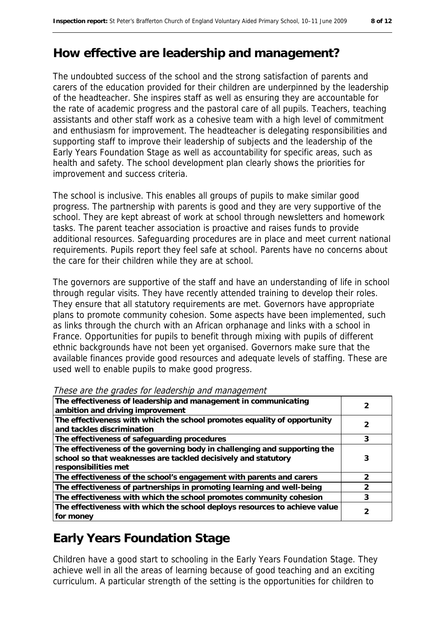## **How effective are leadership and management?**

The undoubted success of the school and the strong satisfaction of parents and carers of the education provided for their children are underpinned by the leadership of the headteacher. She inspires staff as well as ensuring they are accountable for the rate of academic progress and the pastoral care of all pupils. Teachers, teaching assistants and other staff work as a cohesive team with a high level of commitment and enthusiasm for improvement. The headteacher is delegating responsibilities and supporting staff to improve their leadership of subjects and the leadership of the Early Years Foundation Stage as well as accountability for specific areas, such as health and safety. The school development plan clearly shows the priorities for improvement and success criteria.

The school is inclusive. This enables all groups of pupils to make similar good progress. The partnership with parents is good and they are very supportive of the school. They are kept abreast of work at school through newsletters and homework tasks. The parent teacher association is proactive and raises funds to provide additional resources. Safeguarding procedures are in place and meet current national requirements. Pupils report they feel safe at school. Parents have no concerns about the care for their children while they are at school.

The governors are supportive of the staff and have an understanding of life in school through regular visits. They have recently attended training to develop their roles. They ensure that all statutory requirements are met. Governors have appropriate plans to promote community cohesion. Some aspects have been implemented, such as links through the church with an African orphanage and links with a school in France. Opportunities for pupils to benefit through mixing with pupils of different ethnic backgrounds have not been yet organised. Governors make sure that the available finances provide good resources and adequate levels of staffing. These are used well to enable pupils to make good progress.

| The effectiveness of leadership and management in communicating<br>ambition and driving improvement                                                                 |   |
|---------------------------------------------------------------------------------------------------------------------------------------------------------------------|---|
| The effectiveness with which the school promotes equality of opportunity<br>and tackles discrimination                                                              |   |
| The effectiveness of safeguarding procedures                                                                                                                        | 3 |
| The effectiveness of the governing body in challenging and supporting the<br>school so that weaknesses are tackled decisively and statutory<br>responsibilities met | 3 |
| The effectiveness of the school's engagement with parents and carers                                                                                                |   |
| The effectiveness of partnerships in promoting learning and well-being                                                                                              |   |
| The effectiveness with which the school promotes community cohesion                                                                                                 |   |
| The effectiveness with which the school deploys resources to achieve value<br>for money                                                                             |   |

These are the grades for leadership and management

## **Early Years Foundation Stage**

Children have a good start to schooling in the Early Years Foundation Stage. They achieve well in all the areas of learning because of good teaching and an exciting curriculum. A particular strength of the setting is the opportunities for children to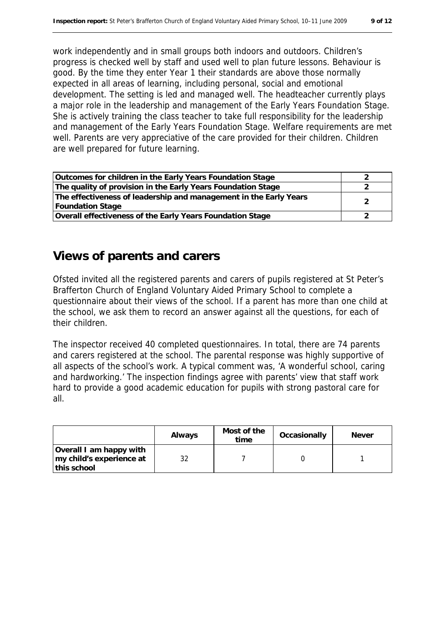work independently and in small groups both indoors and outdoors. Children's progress is checked well by staff and used well to plan future lessons. Behaviour is good. By the time they enter Year 1 their standards are above those normally expected in all areas of learning, including personal, social and emotional development. The setting is led and managed well. The headteacher currently plays a major role in the leadership and management of the Early Years Foundation Stage. She is actively training the class teacher to take full responsibility for the leadership and management of the Early Years Foundation Stage. Welfare requirements are met well. Parents are very appreciative of the care provided for their children. Children are well prepared for future learning.

| Outcomes for children in the Early Years Foundation Stage         |  |
|-------------------------------------------------------------------|--|
| The quality of provision in the Early Years Foundation Stage      |  |
| The effectiveness of leadership and management in the Early Years |  |
| Foundation Stage                                                  |  |
| Overall effectiveness of the Early Years Foundation Stage         |  |

#### **Views of parents and carers**

Ofsted invited all the registered parents and carers of pupils registered at St Peter's Brafferton Church of England Voluntary Aided Primary School to complete a questionnaire about their views of the school. If a parent has more than one child at the school, we ask them to record an answer against all the questions, for each of their children.

The inspector received 40 completed questionnaires. In total, there are 74 parents and carers registered at the school. The parental response was highly supportive of all aspects of the school's work. A typical comment was, 'A wonderful school, caring and hardworking.' The inspection findings agree with parents' view that staff work hard to provide a good academic education for pupils with strong pastoral care for all.

|                                                                     | Always | Most of the<br>time | Occasionally | Never |
|---------------------------------------------------------------------|--------|---------------------|--------------|-------|
| Overall I am happy with<br>Imy child's experience at<br>this school |        |                     |              |       |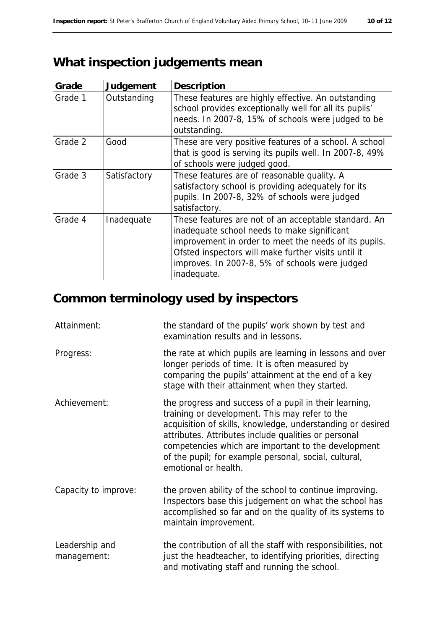## **What inspection judgements mean**

| Grade   | Judgement    | Description                                                                                                                                                                                                                                                                          |
|---------|--------------|--------------------------------------------------------------------------------------------------------------------------------------------------------------------------------------------------------------------------------------------------------------------------------------|
| Grade 1 | Outstanding  | These features are highly effective. An outstanding<br>school provides exceptionally well for all its pupils'<br>needs. In 2007-8, 15% of schools were judged to be<br>outstanding.                                                                                                  |
| Grade 2 | Good         | These are very positive features of a school. A school<br>that is good is serving its pupils well. In 2007-8, 49%<br>of schools were judged good.                                                                                                                                    |
| Grade 3 | Satisfactory | These features are of reasonable quality. A<br>satisfactory school is providing adequately for its<br>pupils. In 2007-8, 32% of schools were judged<br>satisfactory.                                                                                                                 |
| Grade 4 | Inadequate   | These features are not of an acceptable standard. An<br>inadequate school needs to make significant<br>improvement in order to meet the needs of its pupils.<br>Ofsted inspectors will make further visits until it<br>improves. In 2007-8, 5% of schools were judged<br>inadequate. |

## **Common terminology used by inspectors**

| Attainment:                   | the standard of the pupils' work shown by test and<br>examination results and in lessons.                                                                                                                                                                                                                                                                              |
|-------------------------------|------------------------------------------------------------------------------------------------------------------------------------------------------------------------------------------------------------------------------------------------------------------------------------------------------------------------------------------------------------------------|
| Progress:                     | the rate at which pupils are learning in lessons and over<br>longer periods of time. It is often measured by<br>comparing the pupils' attainment at the end of a key<br>stage with their attainment when they started.                                                                                                                                                 |
| Achievement:                  | the progress and success of a pupil in their learning,<br>training or development. This may refer to the<br>acquisition of skills, knowledge, understanding or desired<br>attributes. Attributes include qualities or personal<br>competencies which are important to the development<br>of the pupil; for example personal, social, cultural,<br>emotional or health. |
| Capacity to improve:          | the proven ability of the school to continue improving.<br>Inspectors base this judgement on what the school has<br>accomplished so far and on the quality of its systems to<br>maintain improvement.                                                                                                                                                                  |
| Leadership and<br>management: | the contribution of all the staff with responsibilities, not<br>just the headteacher, to identifying priorities, directing<br>and motivating staff and running the school.                                                                                                                                                                                             |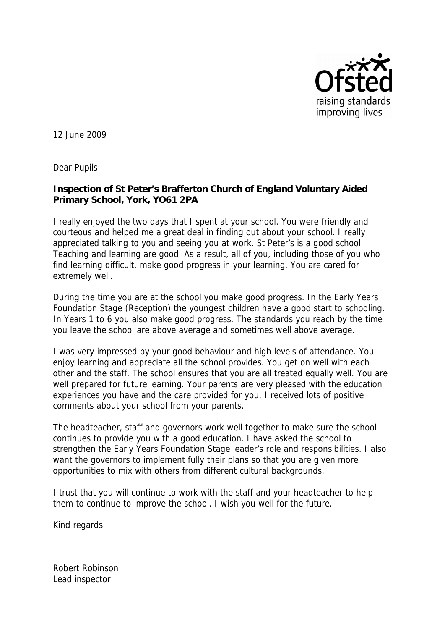

12 June 2009

Dear Pupils

**Inspection of St Peter's Brafferton Church of England Voluntary Aided Primary School, York, YO61 2PA**

I really enjoyed the two days that I spent at your school. You were friendly and courteous and helped me a great deal in finding out about your school. I really appreciated talking to you and seeing you at work. St Peter's is a good school. Teaching and learning are good. As a result, all of you, including those of you who find learning difficult, make good progress in your learning. You are cared for extremely well.

During the time you are at the school you make good progress. In the Early Years Foundation Stage (Reception) the youngest children have a good start to schooling. In Years 1 to 6 you also make good progress. The standards you reach by the time you leave the school are above average and sometimes well above average.

I was very impressed by your good behaviour and high levels of attendance. You enjoy learning and appreciate all the school provides. You get on well with each other and the staff. The school ensures that you are all treated equally well. You are well prepared for future learning. Your parents are very pleased with the education experiences you have and the care provided for you. I received lots of positive comments about your school from your parents.

The headteacher, staff and governors work well together to make sure the school continues to provide you with a good education. I have asked the school to strengthen the Early Years Foundation Stage leader's role and responsibilities. I also want the governors to implement fully their plans so that you are given more opportunities to mix with others from different cultural backgrounds.

I trust that you will continue to work with the staff and your headteacher to help them to continue to improve the school. I wish you well for the future.

Kind regards

Robert Robinson Lead inspector